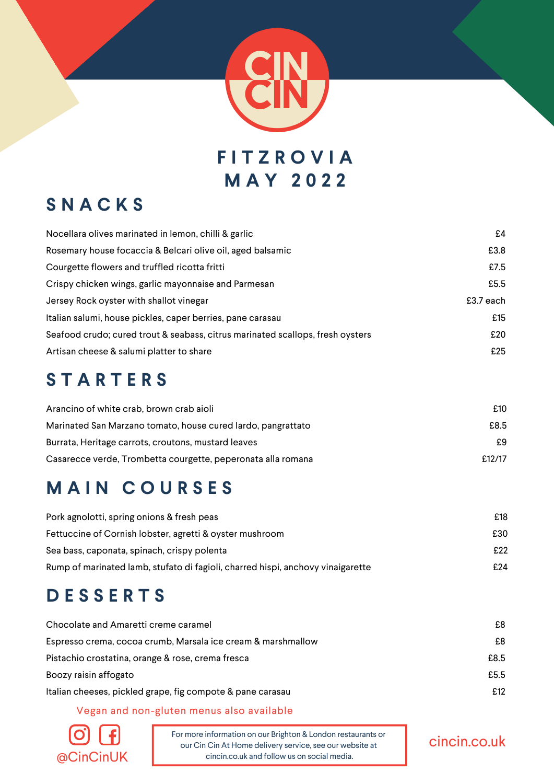

**F I T Z R O V I A M A Y 2 0 2 2**

### **S N A C K S**

| Nocellara olives marinated in lemon, chilli & garlic                           | £4        |
|--------------------------------------------------------------------------------|-----------|
| Rosemary house focaccia & Belcari olive oil, aged balsamic                     | £3.8      |
| Courgette flowers and truffled ricotta fritti                                  | £7.5      |
| Crispy chicken wings, garlic mayonnaise and Parmesan                           | £5.5      |
| Jersey Rock oyster with shallot vinegar                                        | £3.7 each |
| Italian salumi, house pickles, caper berries, pane carasau                     | £15       |
| Seafood crudo; cured trout & seabass, citrus marinated scallops, fresh oysters | £20       |
| Artisan cheese & salumi platter to share                                       | £25       |

#### **S T A R T E R S**

| Arancino of white crab, brown crab aioli                     | £10    |
|--------------------------------------------------------------|--------|
| Marinated San Marzano tomato, house cured lardo, pangrattato | £8.5   |
| Burrata, Heritage carrots, croutons, mustard leaves          | £9     |
| Casarecce verde, Trombetta courgette, peperonata alla romana | £12/17 |

## **M A I N C O U R S E S**

| Pork agnolotti, spring onions & fresh peas                                      | £18 |
|---------------------------------------------------------------------------------|-----|
| Fettuccine of Cornish lobster, agretti & oyster mushroom                        | £30 |
| Sea bass, caponata, spinach, crispy polenta                                     | £22 |
| Rump of marinated lamb, stufato di fagioli, charred hispi, anchovy vinaigarette | £24 |

## **D E S S E R T S**

| Chocolate and Amaretti creme caramel                         | £8   |
|--------------------------------------------------------------|------|
| Espresso crema, cocoa crumb, Marsala ice cream & marshmallow | £8   |
| Pistachio crostatina, orange & rose, crema fresca            | £8.5 |
| Boozy raisin affogato                                        | £5.5 |
| Italian cheeses, pickled grape, fig compote & pane carasau   | £12  |

Vegan and non-gluten menus also available



For more information on our Brighton & London restaurants or our Cin Cin At Home delivery service, see our website at  $@CinCinUK$  cincin.co.uk and follow us on social media.

#### cincin.co.uk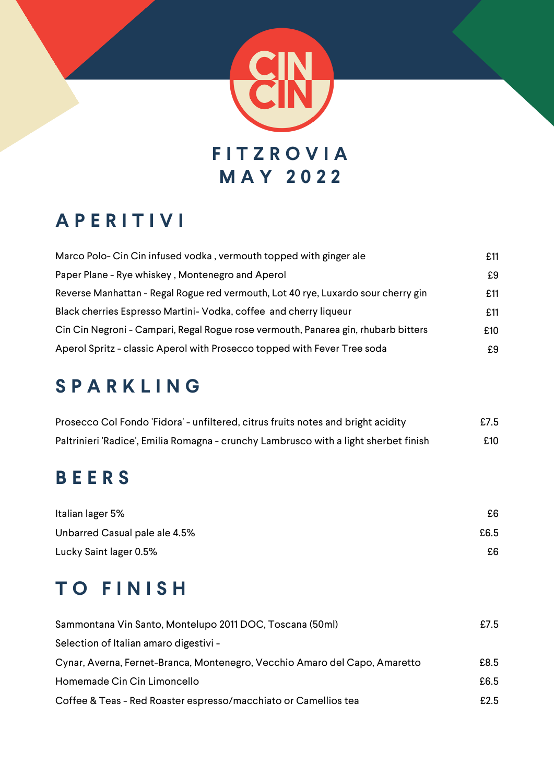

## **A P E R I T I V I**

| Marco Polo- Cin Cin infused vodka, vermouth topped with ginger ale                 | £11 |
|------------------------------------------------------------------------------------|-----|
| Paper Plane - Rye whiskey, Montenegro and Aperol                                   | £9  |
| Reverse Manhattan - Regal Rogue red vermouth, Lot 40 rye, Luxardo sour cherry gin  | £11 |
| Black cherries Espresso Martini- Vodka, coffee and cherry liqueur                  | £11 |
| Cin Cin Negroni - Campari, Regal Rogue rose vermouth, Panarea gin, rhubarb bitters | £10 |
| Aperol Spritz - classic Aperol with Prosecco topped with Fever Tree soda           | £9  |

## **S P A R K L I N G**

| Prosecco Col Fondo 'Fidora' - unfiltered, citrus fruits notes and bright acidity     | £7.5 |
|--------------------------------------------------------------------------------------|------|
| Paltrinieri 'Radice', Emilia Romagna - crunchy Lambrusco with a light sherbet finish | £10  |

## **B E E R S**

| Italian lager 5%              | £6   |
|-------------------------------|------|
| Unbarred Casual pale ale 4.5% | £6.5 |
| Lucky Saint lager 0.5%        | £6   |

## **T O F I N I S H**

| Sammontana Vin Santo, Montelupo 2011 DOC, Toscana (50ml)                   | £7.5 |
|----------------------------------------------------------------------------|------|
| Selection of Italian amaro digestivi -                                     |      |
| Cynar, Averna, Fernet-Branca, Montenegro, Vecchio Amaro del Capo, Amaretto | £8.5 |
| Homemade Cin Cin Limoncello                                                | £6.5 |
| Coffee & Teas - Red Roaster espresso/macchiato or Camellios tea            | £2.5 |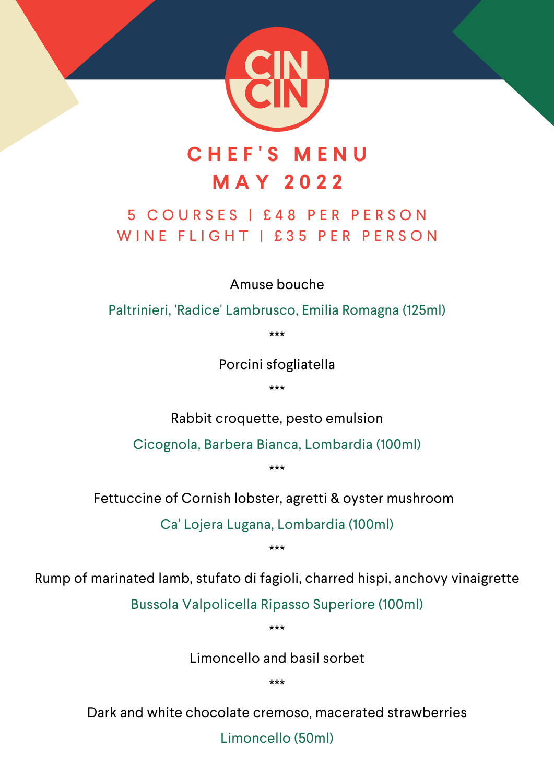

## **C H E F ' S M E N U M A Y 2 0 2 2**

#### 5 C O U R S E S | £ 4 8 P E R P E R S O N WINE FLIGHT I £35 PER PERSON

Amuse bouche

Paltrinieri, 'Radice' Lambrusco, Emilia Romagna (125ml)

\*\*\*

Porcini sfogliatella

\*\*\*

Rabbit croquette, pesto emulsion

Cicognola, Barbera Bianca, Lombardia (100ml)

\*\*\*

Fettuccine of Cornish lobster, agretti & oyster mushroom

Ca' Lojera Lugana, Lombardia (100ml)

\*\*\*

Rump of marinated lamb, stufato di fagioli, charred hispi, anchovy vinaigrette

Bussola Valpolicella Ripasso Superiore (100ml)

\*\*\*

Limoncello and basil sorbet

\*\*\*

Dark and white chocolate cremoso, macerated strawberries

Limoncello (50ml)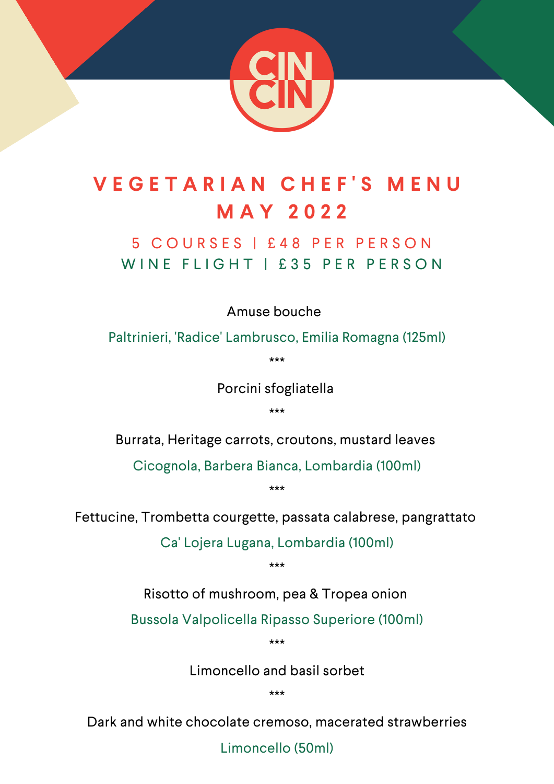

# **V E G E T A R I A N C H E F ' S M E N U M A Y 2 0 2 2**

#### 5 C O U R S E S | £ 4 8 P E R P E R S O N WINE FLIGHT | £35 PER PERSON

Amuse bouche

Paltrinieri, 'Radice' Lambrusco, Emilia Romagna (125ml)

\*\*\*

Porcini sfogliatella

\*\*\*

Burrata, Heritage carrots, croutons, mustard leaves

Cicognola, Barbera Bianca, Lombardia (100ml)

\*\*\*

Fettucine, Trombetta courgette, passata calabrese, pangrattato

Ca' Lojera Lugana, Lombardia (100ml)

\*\*\*

Risotto of mushroom, pea & Tropea onion

Bussola Valpolicella Ripasso Superiore (100ml)

\*\*\*

Limoncello and basil sorbet

\*\*\*

Dark and white chocolate cremoso, macerated strawberries

Limoncello (50ml)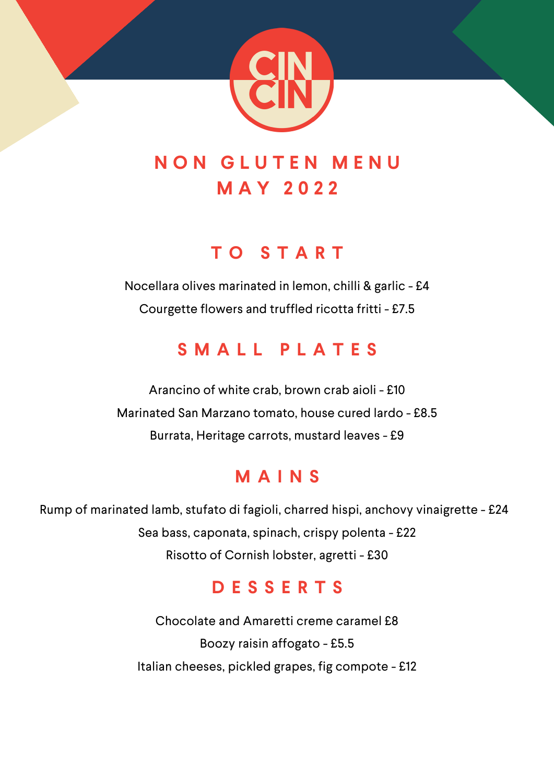

## **N O N G L U T E N M E N U M A Y 2 0 2 2**

### **T O S T A R T**

Nocellara olives marinated in lemon, chilli & garlic - £4 Courgette flowers and truffled ricotta fritti - £7.5

## **S M A L L P L A T E S**

Arancino of white crab, brown crab aioli - £10 Marinated San Marzano tomato, house cured lardo - £8.5 Burrata, Heritage carrots, mustard leaves - £9

## **M A I N S**

Rump of marinated lamb, stufato di fagioli, charred hispi, anchovy vinaigrette - £24 Sea bass, caponata, spinach, crispy polenta - £22 Risotto of Cornish lobster, agretti - £30

## **D E S S E R T S**

Chocolate and Amaretti creme caramel £8 Boozy raisin affogato - £5.5 Italian cheeses, pickled grapes, fig compote - £12